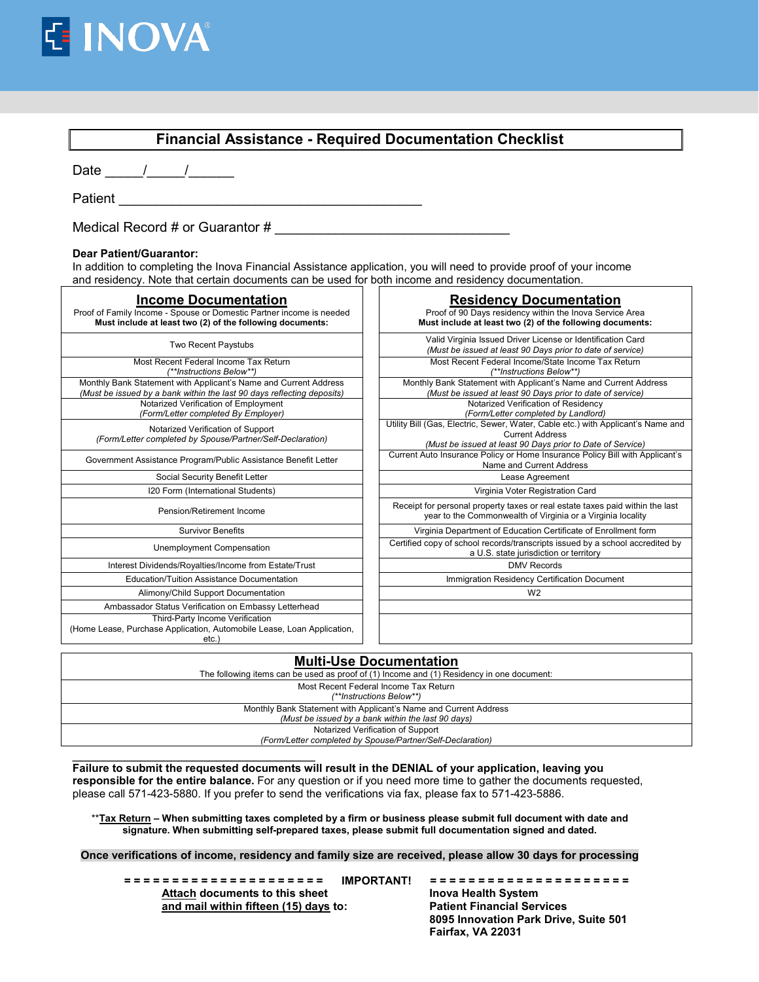

| <b>Financial Assistance - Required Documentation Checklist</b>                                                                                                                                                                                        |                                                                                                                                                                          |  |  |  |  |
|-------------------------------------------------------------------------------------------------------------------------------------------------------------------------------------------------------------------------------------------------------|--------------------------------------------------------------------------------------------------------------------------------------------------------------------------|--|--|--|--|
| Date $\frac{1}{\sqrt{2\pi}}$                                                                                                                                                                                                                          |                                                                                                                                                                          |  |  |  |  |
|                                                                                                                                                                                                                                                       |                                                                                                                                                                          |  |  |  |  |
| Medical Record # or Guarantor $#$                                                                                                                                                                                                                     |                                                                                                                                                                          |  |  |  |  |
| Dear Patient/Guarantor:<br>In addition to completing the Inova Financial Assistance application, you will need to provide proof of your income<br>and residency. Note that certain documents can be used for both income and residency documentation. |                                                                                                                                                                          |  |  |  |  |
| <b>Income Documentation</b><br>Proof of Family Income - Spouse or Domestic Partner income is needed<br>Must include at least two (2) of the following documents:                                                                                      | <b>Residency Documentation</b><br>Proof of 90 Days residency within the Inova Service Area<br>Must include at least two (2) of the following documents:                  |  |  |  |  |
| Two Recent Paystubs                                                                                                                                                                                                                                   | Valid Virginia Issued Driver License or Identification Card<br>(Must be issued at least 90 Days prior to date of service)                                                |  |  |  |  |
| Most Recent Federal Income Tax Return<br>(**Instructions Below**)                                                                                                                                                                                     | Most Recent Federal Income/State Income Tax Return<br>(**Instructions Below**)                                                                                           |  |  |  |  |
| Monthly Bank Statement with Applicant's Name and Current Address<br>(Must be issued by a bank within the last 90 days reflecting deposits)                                                                                                            | Monthly Bank Statement with Applicant's Name and Current Address<br>(Must be issued at least 90 Days prior to date of service)                                           |  |  |  |  |
| Notarized Verification of Employment<br>(Form/Letter completed By Employer)                                                                                                                                                                           | Notarized Verification of Residency<br>(Form/Letter completed by Landlord)                                                                                               |  |  |  |  |
| Notarized Verification of Support<br>(Form/Letter completed by Spouse/Partner/Self-Declaration)                                                                                                                                                       | Utility Bill (Gas, Electric, Sewer, Water, Cable etc.) with Applicant's Name and<br><b>Current Address</b><br>(Must be issued at least 90 Days prior to Date of Service) |  |  |  |  |
| Government Assistance Program/Public Assistance Benefit Letter                                                                                                                                                                                        | Current Auto Insurance Policy or Home Insurance Policy Bill with Applicant's<br>Name and Current Address                                                                 |  |  |  |  |
| Social Security Benefit Letter                                                                                                                                                                                                                        | Lease Agreement                                                                                                                                                          |  |  |  |  |
| 120 Form (International Students)                                                                                                                                                                                                                     | Virginia Voter Registration Card                                                                                                                                         |  |  |  |  |
| Pension/Retirement Income                                                                                                                                                                                                                             | Receipt for personal property taxes or real estate taxes paid within the last<br>year to the Commonwealth of Virginia or a Virginia locality                             |  |  |  |  |
| <b>Survivor Benefits</b>                                                                                                                                                                                                                              | Virginia Department of Education Certificate of Enrollment form                                                                                                          |  |  |  |  |
| Unemployment Compensation                                                                                                                                                                                                                             | Certified copy of school records/transcripts issued by a school accredited by<br>a U.S. state jurisdiction or territory                                                  |  |  |  |  |
| Interest Dividends/Royalties/Income from Estate/Trust                                                                                                                                                                                                 | <b>DMV Records</b>                                                                                                                                                       |  |  |  |  |
| Education/Tuition Assistance Documentation                                                                                                                                                                                                            | Immigration Residency Certification Document                                                                                                                             |  |  |  |  |
| Alimony/Child Support Documentation                                                                                                                                                                                                                   | W <sub>2</sub>                                                                                                                                                           |  |  |  |  |
| Ambassador Status Verification on Embassy Letterhead<br>Third-Party Income Verification<br>(Home Lease, Purchase Application, Automobile Lease, Loan Application,<br>etc.)                                                                            |                                                                                                                                                                          |  |  |  |  |
| <b>Multi-Use Documentation</b>                                                                                                                                                                                                                        |                                                                                                                                                                          |  |  |  |  |

| <b>Multi-Use Documentation</b>                                                            |
|-------------------------------------------------------------------------------------------|
| The following items can be used as proof of (1) Income and (1) Residency in one document: |
| Most Recent Federal Income Tax Return                                                     |
| (**Instructions Below**)                                                                  |
| Monthly Bank Statement with Applicant's Name and Current Address                          |
| (Must be issued by a bank within the last 90 days)                                        |
| Notarized Verification of Support                                                         |
| (Form/Letter completed by Spouse/Partner/Self-Declaration)                                |
|                                                                                           |
|                                                                                           |

**Failure to submit the requested documents will result in the DENIAL of your application, leaving you responsible for the entire balance.** For any question or if you need more time to gather the documents requested, please call 571-423-5880. If you prefer to send the verifications via fax, please fax to 571-423-5886.

\*\***Tax Return – When submitting taxes completed by a firm or business please submit full document with date and signature. When submitting self-prepared taxes, please submit full documentation signed and dated.**

**Once verifications of income, residency and family size are received, please allow 30 days for processing**

**= = = = = = = = = = = = = = = = = = = = = IMPORTANT! = = = = = = = = = = = = = = = = = = = = =**  Attach documents to this sheet **Inova Health System**<br> **Attach within fifteen (15) days to:** Patient Financial Services **and mail within fifteen (15) days to:** 

**8095 Innovation Park Drive, Suite 501 Fairfax, VA 22031**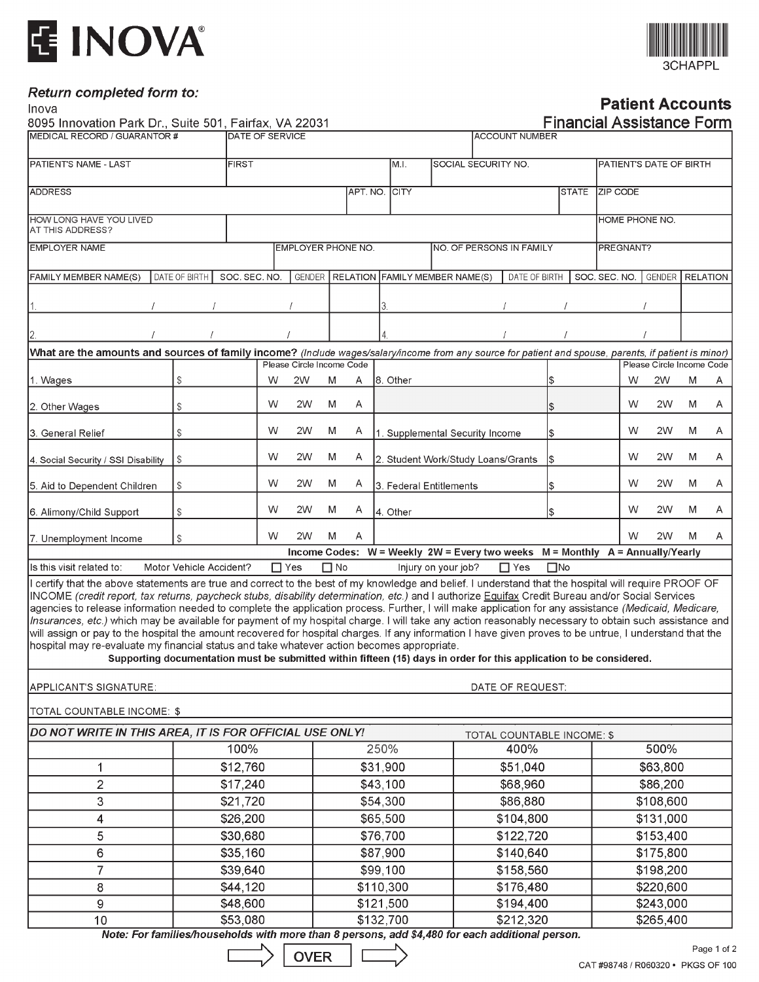





## **Patient Accounts**

| Inova                                                                                                                                                                                                                                                                                                                                                                                                                                                                                                                                                                                                                                                                                                                                                                                                                                                                                                                                                                                                       |                                                             |                                                 |            |                           |           |          |                                     |                |                                                                               |                            |                 |              |                                  |               |   |                           |   | <b>Patient Accounts</b> |
|-------------------------------------------------------------------------------------------------------------------------------------------------------------------------------------------------------------------------------------------------------------------------------------------------------------------------------------------------------------------------------------------------------------------------------------------------------------------------------------------------------------------------------------------------------------------------------------------------------------------------------------------------------------------------------------------------------------------------------------------------------------------------------------------------------------------------------------------------------------------------------------------------------------------------------------------------------------------------------------------------------------|-------------------------------------------------------------|-------------------------------------------------|------------|---------------------------|-----------|----------|-------------------------------------|----------------|-------------------------------------------------------------------------------|----------------------------|-----------------|--------------|----------------------------------|---------------|---|---------------------------|---|-------------------------|
| 8095 Innovation Park Dr., Suite 501, Fairfax, VA 22031<br>MEDICAL RECORD / GUARANTOR #                                                                                                                                                                                                                                                                                                                                                                                                                                                                                                                                                                                                                                                                                                                                                                                                                                                                                                                      |                                                             |                                                 |            |                           |           |          |                                     |                |                                                                               |                            |                 |              | <b>Financial Assistance Form</b> |               |   |                           |   |                         |
|                                                                                                                                                                                                                                                                                                                                                                                                                                                                                                                                                                                                                                                                                                                                                                                                                                                                                                                                                                                                             |                                                             | <b>DATE OF SERVICE</b><br><b>ACCOUNT NUMBER</b> |            |                           |           |          |                                     |                |                                                                               |                            |                 |              |                                  |               |   |                           |   |                         |
| PATIENT'S NAME - LAST                                                                                                                                                                                                                                                                                                                                                                                                                                                                                                                                                                                                                                                                                                                                                                                                                                                                                                                                                                                       |                                                             | SOCIAL SECURITY NO.<br><b>FIRST</b><br>M.I.     |            |                           |           |          |                                     |                | PATIENT'S DATE OF BIRTH                                                       |                            |                 |              |                                  |               |   |                           |   |                         |
| <b>ADDRESS</b>                                                                                                                                                                                                                                                                                                                                                                                                                                                                                                                                                                                                                                                                                                                                                                                                                                                                                                                                                                                              |                                                             | APT. NO. CITY                                   |            |                           |           |          |                                     |                | <b>STATE</b>                                                                  |                            | <b>ZIP CODE</b> |              |                                  |               |   |                           |   |                         |
| HOW LONG HAVE YOU LIVED<br>AT THIS ADDRESS?                                                                                                                                                                                                                                                                                                                                                                                                                                                                                                                                                                                                                                                                                                                                                                                                                                                                                                                                                                 |                                                             |                                                 |            |                           |           |          |                                     | HOME PHONE NO. |                                                                               |                            |                 |              |                                  |               |   |                           |   |                         |
| <b>EMPLOYER NAME</b>                                                                                                                                                                                                                                                                                                                                                                                                                                                                                                                                                                                                                                                                                                                                                                                                                                                                                                                                                                                        | EMPLOYER PHONE NO.<br>NO. OF PERSONS IN FAMILY<br>PREGNANT? |                                                 |            |                           |           |          |                                     |                |                                                                               |                            |                 |              |                                  |               |   |                           |   |                         |
|                                                                                                                                                                                                                                                                                                                                                                                                                                                                                                                                                                                                                                                                                                                                                                                                                                                                                                                                                                                                             |                                                             |                                                 |            |                           |           |          |                                     |                |                                                                               |                            |                 |              |                                  |               |   |                           |   |                         |
| FAMILY MEMBER NAME(S)                                                                                                                                                                                                                                                                                                                                                                                                                                                                                                                                                                                                                                                                                                                                                                                                                                                                                                                                                                                       | DATE OF BIRTH                                               | SOC. SEC. NO.                                   |            |                           |           |          |                                     |                | <b>GENDER RELATION FAMILY MEMBER NAME(S)</b>                                  |                            | DATE OF BIRTH   |              |                                  | SOC. SEC. NO. |   | GENDER   RELATION         |   |                         |
|                                                                                                                                                                                                                                                                                                                                                                                                                                                                                                                                                                                                                                                                                                                                                                                                                                                                                                                                                                                                             |                                                             |                                                 |            |                           |           |          |                                     |                |                                                                               |                            |                 |              |                                  |               |   |                           |   |                         |
|                                                                                                                                                                                                                                                                                                                                                                                                                                                                                                                                                                                                                                                                                                                                                                                                                                                                                                                                                                                                             |                                                             |                                                 |            |                           |           |          |                                     |                |                                                                               |                            |                 |              |                                  |               |   |                           |   |                         |
| What are the amounts and sources of family income? (Include wages/salary/income from any source for patient and spouse, parents, if patient is minor)                                                                                                                                                                                                                                                                                                                                                                                                                                                                                                                                                                                                                                                                                                                                                                                                                                                       |                                                             |                                                 |            |                           |           |          |                                     |                |                                                                               |                            |                 |              |                                  |               |   |                           |   |                         |
|                                                                                                                                                                                                                                                                                                                                                                                                                                                                                                                                                                                                                                                                                                                                                                                                                                                                                                                                                                                                             |                                                             |                                                 |            | Please Circle Income Code |           |          |                                     |                |                                                                               |                            |                 |              |                                  |               |   | Please Circle Income Code |   |                         |
| 1. Wages                                                                                                                                                                                                                                                                                                                                                                                                                                                                                                                                                                                                                                                                                                                                                                                                                                                                                                                                                                                                    | \$                                                          |                                                 | W          | 2W                        | M         | A        | I8. Other                           |                |                                                                               |                            |                 | \$           |                                  |               | W | 2W                        | M | Α                       |
| 2. Other Wages                                                                                                                                                                                                                                                                                                                                                                                                                                                                                                                                                                                                                                                                                                                                                                                                                                                                                                                                                                                              | $\mathbb{S}$                                                |                                                 | W          | 2W                        | M         | A        |                                     |                |                                                                               |                            |                 | \$           |                                  |               | W | 2W                        | M | Α                       |
| 3. General Relief                                                                                                                                                                                                                                                                                                                                                                                                                                                                                                                                                                                                                                                                                                                                                                                                                                                                                                                                                                                           | \$                                                          |                                                 | w          | 2W                        | M         | A        |                                     |                | 1. Supplemental Security Income                                               |                            |                 | \$           |                                  |               | w | 2W                        | M | Α                       |
| 4. Social Security / SSI Disability                                                                                                                                                                                                                                                                                                                                                                                                                                                                                                                                                                                                                                                                                                                                                                                                                                                                                                                                                                         | \$                                                          |                                                 | W          | 2W                        | M         | A        |                                     |                | 2. Student Work/Study Loans/Grants                                            |                            |                 | Ι\$          |                                  |               | W | 2W                        | M | Α                       |
| 5. Aid to Dependent Children                                                                                                                                                                                                                                                                                                                                                                                                                                                                                                                                                                                                                                                                                                                                                                                                                                                                                                                                                                                | \$                                                          |                                                 | w          | 2W                        | M         | A        |                                     |                | 3. Federal Entitlements                                                       |                            |                 | \$           |                                  |               | W | 2W                        | M | A                       |
| 6. Alimony/Child Support                                                                                                                                                                                                                                                                                                                                                                                                                                                                                                                                                                                                                                                                                                                                                                                                                                                                                                                                                                                    | S                                                           |                                                 | W          | 2W                        | M         | Α        | 4. Other                            |                |                                                                               |                            |                 | \$           |                                  |               | W | 2W                        | M | A                       |
| 7. Unemployment Income                                                                                                                                                                                                                                                                                                                                                                                                                                                                                                                                                                                                                                                                                                                                                                                                                                                                                                                                                                                      | S                                                           |                                                 | W          | 2W                        | M         | A        |                                     |                |                                                                               |                            |                 |              |                                  |               | W | 2W                        | M | A                       |
|                                                                                                                                                                                                                                                                                                                                                                                                                                                                                                                                                                                                                                                                                                                                                                                                                                                                                                                                                                                                             |                                                             |                                                 |            |                           |           |          |                                     |                | Income Codes: W = Weekly 2W = Every two weeks M = Monthly A = Annually/Yearly |                            |                 |              |                                  |               |   |                           |   |                         |
| Is this visit related to:                                                                                                                                                                                                                                                                                                                                                                                                                                                                                                                                                                                                                                                                                                                                                                                                                                                                                                                                                                                   | Motor Vehicle Accident?                                     |                                                 | $\Box$ Yes |                           | $\Box$ No |          |                                     |                | Injury on your job?                                                           |                            | $\Box$ Yes      | $\square$ No |                                  |               |   |                           |   |                         |
| I certify that the above statements are true and correct to the best of my knowledge and belief. I understand that the hospital will require PROOF OF<br>INCOME (credit report, tax returns, paycheck stubs, disability determination, etc.) and I authorize Equifax Credit Bureau and/or Social Services<br>agencies to release information needed to complete the application process. Further, I will make application for any assistance (Medicaid, Medicare,<br>Insurances, etc.) which may be available for payment of my hospital charge. I will take any action reasonably necessary to obtain such assistance and<br>will assign or pay to the hospital the amount recovered for hospital charges. If any information I have given proves to be untrue, I understand that the<br>hospital may re-evaluate my financial status and take whatever action becomes appropriate.<br>Supporting documentation must be submitted within fifteen (15) days in order for this application to be considered. |                                                             |                                                 |            |                           |           |          |                                     |                |                                                                               |                            |                 |              |                                  |               |   |                           |   |                         |
| APPLICANT'S SIGNATURE:                                                                                                                                                                                                                                                                                                                                                                                                                                                                                                                                                                                                                                                                                                                                                                                                                                                                                                                                                                                      |                                                             |                                                 |            |                           |           |          |                                     |                |                                                                               | DATE OF REQUEST:           |                 |              |                                  |               |   |                           |   |                         |
| TOTAL COUNTABLE INCOME: \$                                                                                                                                                                                                                                                                                                                                                                                                                                                                                                                                                                                                                                                                                                                                                                                                                                                                                                                                                                                  |                                                             |                                                 |            |                           |           |          |                                     |                |                                                                               |                            |                 |              |                                  |               |   |                           |   |                         |
| DO NOT WRITE IN THIS AREA, IT IS FOR OFFICIAL USE ONLY!                                                                                                                                                                                                                                                                                                                                                                                                                                                                                                                                                                                                                                                                                                                                                                                                                                                                                                                                                     |                                                             |                                                 |            |                           |           |          |                                     |                |                                                                               | TOTAL COUNTABLE INCOME: \$ |                 |              |                                  |               |   |                           |   |                         |
|                                                                                                                                                                                                                                                                                                                                                                                                                                                                                                                                                                                                                                                                                                                                                                                                                                                                                                                                                                                                             |                                                             | 100%                                            |            |                           |           |          | 250%                                |                |                                                                               |                            | 400%            |              |                                  |               |   | 500%                      |   |                         |
| 1                                                                                                                                                                                                                                                                                                                                                                                                                                                                                                                                                                                                                                                                                                                                                                                                                                                                                                                                                                                                           |                                                             | \$12,760                                        |            |                           |           |          | \$31,900                            |                |                                                                               |                            | \$51,040        |              |                                  |               |   | \$63,800                  |   |                         |
| $\overline{2}$                                                                                                                                                                                                                                                                                                                                                                                                                                                                                                                                                                                                                                                                                                                                                                                                                                                                                                                                                                                              |                                                             | \$17,240                                        |            |                           |           |          | \$43,100                            |                |                                                                               | \$68,960                   |                 |              | \$86,200                         |               |   |                           |   |                         |
| 3                                                                                                                                                                                                                                                                                                                                                                                                                                                                                                                                                                                                                                                                                                                                                                                                                                                                                                                                                                                                           |                                                             | \$21,720                                        |            |                           |           |          | \$54,300                            |                | \$86,880                                                                      |                            |                 |              |                                  | \$108,600     |   |                           |   |                         |
| 4                                                                                                                                                                                                                                                                                                                                                                                                                                                                                                                                                                                                                                                                                                                                                                                                                                                                                                                                                                                                           |                                                             | \$26,200                                        |            |                           |           | \$65,500 |                                     |                | \$104,800                                                                     |                            |                 |              | \$131,000                        |               |   |                           |   |                         |
| 5                                                                                                                                                                                                                                                                                                                                                                                                                                                                                                                                                                                                                                                                                                                                                                                                                                                                                                                                                                                                           |                                                             | \$30,680                                        |            |                           |           |          | \$76,700                            |                |                                                                               | \$122,720                  |                 |              |                                  | \$153,400     |   |                           |   |                         |
| 6                                                                                                                                                                                                                                                                                                                                                                                                                                                                                                                                                                                                                                                                                                                                                                                                                                                                                                                                                                                                           |                                                             | \$35,160                                        |            |                           |           |          | \$87,900                            |                |                                                                               |                            | \$140,640       |              |                                  |               |   | \$175,800                 |   |                         |
| $\overline{7}$                                                                                                                                                                                                                                                                                                                                                                                                                                                                                                                                                                                                                                                                                                                                                                                                                                                                                                                                                                                              |                                                             | \$39,640                                        |            |                           |           |          | \$99,100                            |                |                                                                               | \$158,560                  |                 |              |                                  | \$198,200     |   |                           |   |                         |
| 8                                                                                                                                                                                                                                                                                                                                                                                                                                                                                                                                                                                                                                                                                                                                                                                                                                                                                                                                                                                                           |                                                             | \$44,120                                        |            |                           |           |          | \$110,300                           |                |                                                                               |                            | \$176,480       |              |                                  | \$220,600     |   |                           |   |                         |
| 9                                                                                                                                                                                                                                                                                                                                                                                                                                                                                                                                                                                                                                                                                                                                                                                                                                                                                                                                                                                                           |                                                             | \$48,600                                        | \$121,500  |                           |           |          |                                     |                |                                                                               | \$194,400<br>\$243,000     |                 |              |                                  |               |   |                           |   |                         |
| 10                                                                                                                                                                                                                                                                                                                                                                                                                                                                                                                                                                                                                                                                                                                                                                                                                                                                                                                                                                                                          | \$53,080                                                    |                                                 |            |                           |           |          | \$132,700<br>\$212,320<br>\$265,400 |                |                                                                               |                            |                 |              |                                  |               |   |                           |   |                         |
| Note: For families/households with more than 8 persons, add \$4,480 for each additional person.                                                                                                                                                                                                                                                                                                                                                                                                                                                                                                                                                                                                                                                                                                                                                                                                                                                                                                             |                                                             |                                                 |            |                           |           |          |                                     |                |                                                                               |                            |                 |              |                                  |               |   |                           |   |                         |

$$
\bigtriangledown
$$
 
$$
\bigcirc
$$
 
$$
\bigcirc
$$
 
$$
\bigcirc
$$
 
$$
\bigcirc
$$
 
$$
\bigcirc
$$
 
$$
\bigcirc
$$
 
$$
\bigcirc
$$
 
$$
\bigcirc
$$
 
$$
\bigcirc
$$
 
$$
\bigcirc
$$
 
$$
\bigcirc
$$
 
$$
\bigcirc
$$
 
$$
\bigcirc
$$
 
$$
\bigcirc
$$
 
$$
\bigcirc
$$
 
$$
\bigcirc
$$
 
$$
\bigcirc
$$
 
$$
\bigcirc
$$
 
$$
\bigcirc
$$
 
$$
\bigcirc
$$
 
$$
\bigcirc
$$
 
$$
\bigcirc
$$
 
$$
\bigcirc
$$
 
$$
\bigcirc
$$
 
$$
\bigcirc
$$
 
$$
\bigcirc
$$
 
$$
\bigcirc
$$
 
$$
\bigcirc
$$
 
$$
\bigcirc
$$
 
$$
\bigcirc
$$
 
$$
\bigcirc
$$
 
$$
\bigcirc
$$
 
$$
\bigcirc
$$
 
$$
\bigcirc
$$
 
$$
\bigcirc
$$
 
$$
\bigcirc
$$
 
$$
\bigcirc
$$
 
$$
\bigcirc
$$
 
$$
\bigcirc
$$
 
$$
\bigcirc
$$
 
$$
\bigcirc
$$
 
$$
\bigcirc
$$
 
$$
\bigcirc
$$
 
$$
\bigcirc
$$
 
$$
\bigcirc
$$
 
$$
\bigcirc
$$
 
$$
\bigcirc
$$
 
$$
\bigcirc
$$
 
$$
\bigcirc
$$
 
$$
\bigcirc
$$
 
$$
\bigcirc
$$
 
$$
\bigcirc
$$
 
$$
\bigcirc
$$
 
$$
\bigcirc
$$
 
$$
\bigcirc
$$
 
$$
\bigcirc
$$
 
$$
\bigcirc
$$
 
$$
\bigcirc
$$
 
$$
\bigcirc
$$
 
$$
\bigcirc
$$
 
$$
\bigcirc
$$
 
$$
\bigcirc
$$
 
$$
\bigcirc
$$
 
$$
\bigcirc
$$
 
$$
\bigcirc
$$
 
$$
\bigcirc
$$
 
$$
\bigcirc
$$
 
$$
\bigcirc
$$
 <math display="</math>

 $\overline{L}$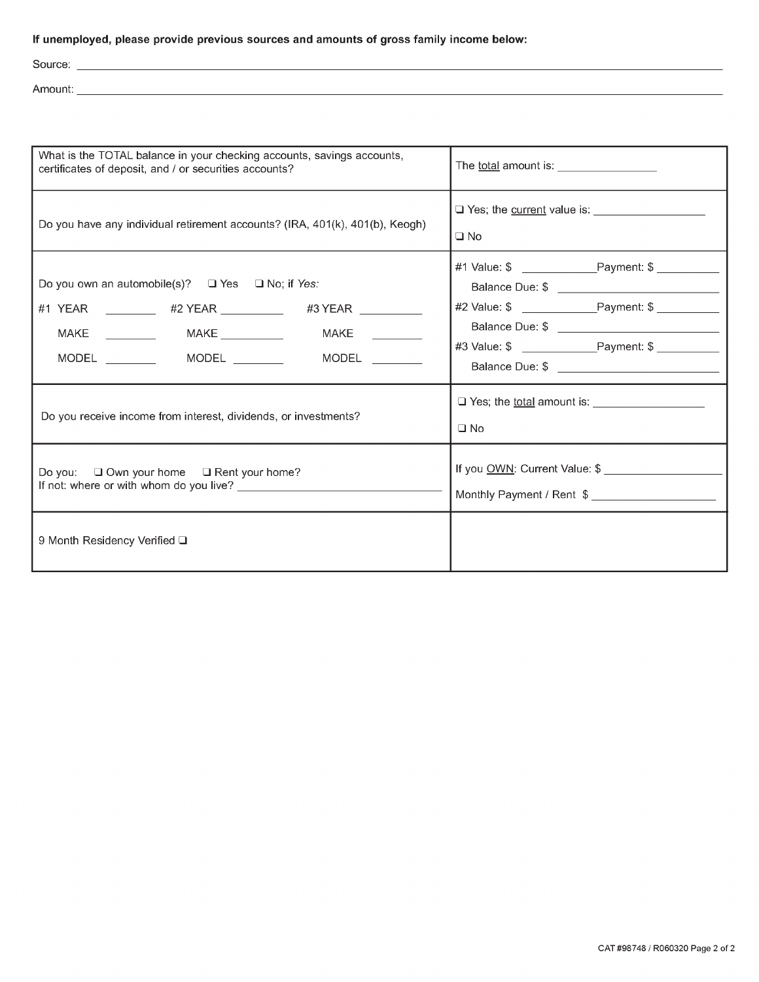## If unemployed, please provide previous sources and amounts of gross family income below:

Source:

Amount: <u>Amount: Amount: Amount: Amount: Amount: Amount: Amount: Amount: Amount: Amount: Amount: Amount: Amoun</u>

| What is the TOTAL balance in your checking accounts, savings accounts,<br>certificates of deposit, and / or securities accounts?                                                         | The total amount is: <u>with the total</u>                  |  |  |  |  |  |
|------------------------------------------------------------------------------------------------------------------------------------------------------------------------------------------|-------------------------------------------------------------|--|--|--|--|--|
| Do you have any individual retirement accounts? (IRA, 401(k), 401(b), Keogh)                                                                                                             | □ Yes; the current value is:<br>$\square$ No                |  |  |  |  |  |
| Do you own an automobile(s)? $\Box$ Yes $\Box$ No; if Yes:<br>#1 YEAR ___________ #2 YEAR ___________ #3 YEAR _________<br>MAKE<br>MAKE ____________  MAKE _____________<br><b>MODEL</b> |                                                             |  |  |  |  |  |
| Do you receive income from interest, dividends, or investments?                                                                                                                          | $\Box$ Yes; the <u>total</u> amount is: $\Box$<br>$\Box$ No |  |  |  |  |  |
| Do you: □ Own your home □ Rent your home?                                                                                                                                                | If you OWN: Current Value: \$<br>Monthly Payment / Rent \$  |  |  |  |  |  |
| 9 Month Residency Verified □                                                                                                                                                             |                                                             |  |  |  |  |  |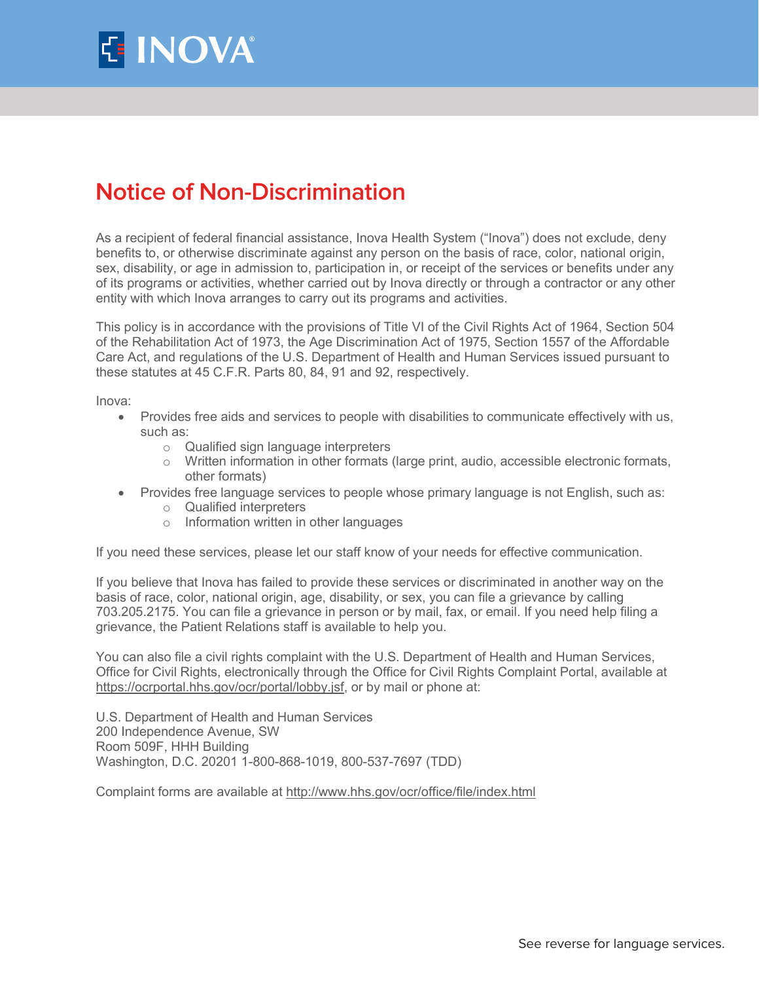

## **Notice of Non-Discrimination**

As a recipient of federal financial assistance, Inova Health System ("Inova") does not exclude, deny benefits to, or otherwise discriminate against any person on the basis of race, color, national origin, sex, disability, or age in admission to, participation in, or receipt of the services or benefits under any of its programs or activities, whether carried out by Inova directly or through a contractor or any other entity with which Inova arranges to carry out its programs and activities.

This policy is in accordance with the provisions of Title VI of the Civil Rights Act of 1964, Section 504 of the Rehabilitation Act of 1973, the Age Discrimination Act of 1975, Section 1557 of the Affordable Care Act, and regulations of the U.S. Department of Health and Human Services issued pursuant to these statutes at 45 C.F.R. Parts 80, 84, 91 and 92, respectively.

Inova:

- Provides free aids and services to people with disabilities to communicate effectively with us, such as:
	- $\circ$  Qualified sign language interpreters
	- $\circ$  Written information in other formats (large print, audio, accessible electronic formats, other formats)
- Provides free language services to people whose primary language is not English, such as:
	- $\circ$  Qualified interpreters
	- $\circ$  Information written in other languages

If you need these services, please let our staff know of your needs for effective communication.

If you believe that Inova has failed to provide these services or discriminated in another way on the basis of race, color, national origin, age, disability, or sex, you can file a grievance by calling 703.205.2175. You can file a grievance in person or by mail, fax, or email. If you need help filing a grievance, the Patient Relations staff is available to help you.

You can also file a civil rights complaint with the U.S. Department of Health and Human Services, Office for Civil Rights, electronically through the Office for Civil Rights Complaint Portal, available at https://ocrportal.hhs.gov/ocr/portal/lobby.jsf, or by mail or phone at:

U.S. Department of Health and Human Services 200 Independence Avenue, SW Room 509F, HHH Building Washington, D.C. 20201 1-800-868-1019, 800-537-7697 (TDD)

Complaint forms are available at http://www.hhs.gov/ocr/office/file/index.html